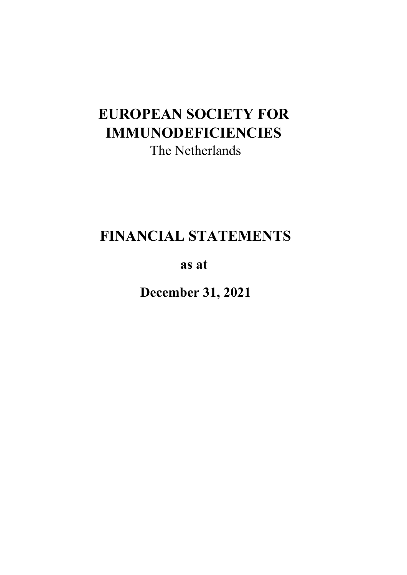# **EUROPEAN SOCIETY FOR IMMUNODEFICIENCIES**  The Netherlands

# **FINANCIAL STATEMENTS**

**as at** 

**December 31, 2021**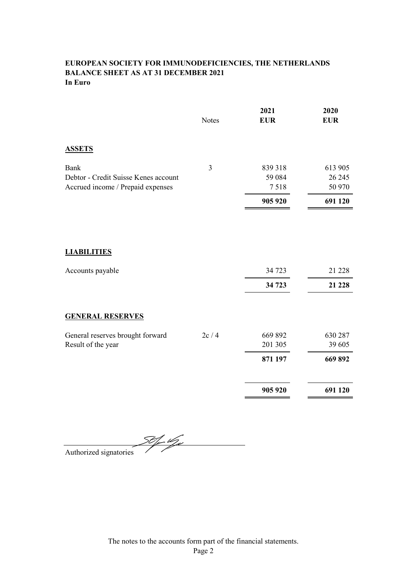# **EUROPEAN SOCIETY FOR IMMUNODEFICIENCIES, THE NETHERLANDS BALANCE SHEET AS AT 31 DECEMBER 2021 In Euro**

|                                                                                          | <b>Notes</b> | 2021<br><b>EUR</b>         | 2020<br><b>EUR</b>          |
|------------------------------------------------------------------------------------------|--------------|----------------------------|-----------------------------|
| <b>ASSETS</b>                                                                            |              |                            |                             |
| <b>Bank</b><br>Debtor - Credit Suisse Kenes account<br>Accrued income / Prepaid expenses | 3            | 839 318<br>59 0 84<br>7518 | 613 905<br>26 245<br>50 970 |
|                                                                                          |              | 905 920                    | 691 120                     |
| <b>LIABILITIES</b>                                                                       |              |                            |                             |
| Accounts payable                                                                         |              | 34 723                     | 21 228                      |
|                                                                                          |              | 34 723                     | 21 228                      |
| <b>GENERAL RESERVES</b>                                                                  |              |                            |                             |
| General reserves brought forward<br>Result of the year                                   | 2c/4         | 669 892<br>201 305         | 630 287<br>39 605           |
|                                                                                          |              | 871 197                    | 669 892                     |
|                                                                                          |              | 905 920                    | 691 120                     |
|                                                                                          |              |                            |                             |

<u>50 fr 19 ji</u> Authorized signatories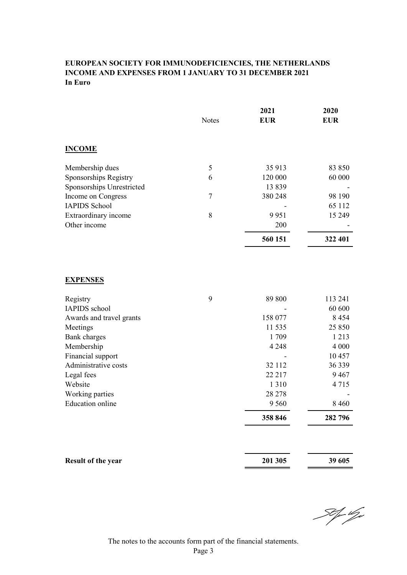# **EUROPEAN SOCIETY FOR IMMUNODEFICIENCIES, THE NETHERLANDS INCOME AND EXPENSES FROM 1 JANUARY TO 31 DECEMBER 2021 In Euro**

|                           | <b>Notes</b> | 2021<br><b>EUR</b> | 2020<br><b>EUR</b> |
|---------------------------|--------------|--------------------|--------------------|
| <b>INCOME</b>             |              |                    |                    |
| Membership dues           | 5            | 35 913             | 83 850             |
| Sponsorships Registry     | 6            | 120 000            | 60 000             |
| Sponsorships Unrestricted |              | 13839              |                    |
| Income on Congress        | 7            | 380 248            | 98 190             |
| <b>IAPIDS School</b>      |              |                    | 65 112             |
| Extraordinary income      | 8            | 9951               | 15 249             |
| Other income              |              | 200                |                    |
|                           |              | 560 151            | 322 401            |
|                           |              |                    |                    |

# **EXPENSES**

| Registry                 | 9 | 89 800   | 113 241 |
|--------------------------|---|----------|---------|
| IAPIDS school            |   |          | 60 600  |
| Awards and travel grants |   | 158 077  | 8454    |
| Meetings                 |   | 11 5 3 5 | 25 850  |
| Bank charges             |   | 1 709    | 1 2 1 3 |
| Membership               |   | 4 2 4 8  | 4 0 0 0 |
| Financial support        |   |          | 10457   |
| Administrative costs     |   | 32 1 12  | 36 339  |
| Legal fees               |   | 22 2 1 7 | 9467    |
| Website                  |   | 1 3 1 0  | 4715    |
| Working parties          |   | 28 278   |         |
| <b>Education</b> online  |   | 9 5 6 0  | 8460    |
|                          |   | 358 846  | 282 796 |

| <b>Result of the year</b> | 201 305 | 39 605 |
|---------------------------|---------|--------|
|                           |         |        |

St for Uge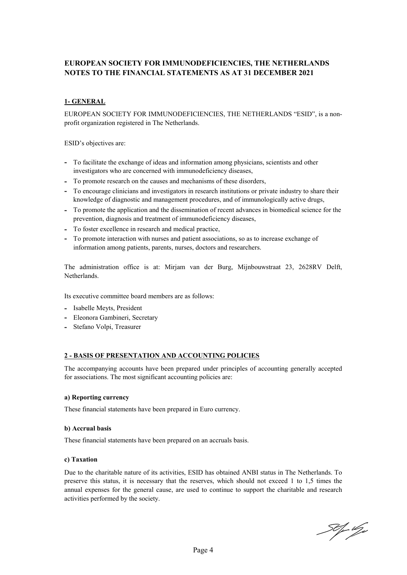# **EUROPEAN SOCIETY FOR IMMUNODEFICIENCIES, THE NETHERLANDS NOTES TO THE FINANCIAL STATEMENTS AS AT 31 DECEMBER 2021**

# **1- GENERAL**

EUROPEAN SOCIETY FOR IMMUNODEFICIENCIES, THE NETHERLANDS "ESID", is a nonprofit organization registered in The Netherlands.

ESID's objectives are:

- **-** To facilitate the exchange of ideas and information among physicians, scientists and other investigators who are concerned with immunodeficiency diseases,
- **-** To promote research on the causes and mechanisms of these disorders,
- **-** To encourage clinicians and investigators in research institutions or private industry to share their knowledge of diagnostic and management procedures, and of immunologically active drugs,
- **-** To promote the application and the dissemination of recent advances in biomedical science for the prevention, diagnosis and treatment of immunodeficiency diseases,
- **-** To foster excellence in research and medical practice,
- **-** To promote interaction with nurses and patient associations, so as to increase exchange of information among patients, parents, nurses, doctors and researchers.

The administration office is at: Mirjam van der Burg, Mijnbouwstraat 23, 2628RV Delft, Netherlands.

Its executive committee board members are as follows:

- **-** Isabelle Meyts, President
- **-** Eleonora Gambineri, Secretary
- **-** Stefano Volpi, Treasurer

## **2 - BASIS OF PRESENTATION AND ACCOUNTING POLICIES**

The accompanying accounts have been prepared under principles of accounting generally accepted for associations. The most significant accounting policies are:

#### **a) Reporting currency**

These financial statements have been prepared in Euro currency.

#### **b) Accrual basis**

These financial statements have been prepared on an accruals basis.

#### **c) Taxation**

Due to the charitable nature of its activities, ESID has obtained ANBI status in The Netherlands. To preserve this status, it is necessary that the reserves, which should not exceed 1 to 1,5 times the annual expenses for the general cause, are used to continue to support the charitable and research activities performed by the society.

50 fr 19 j